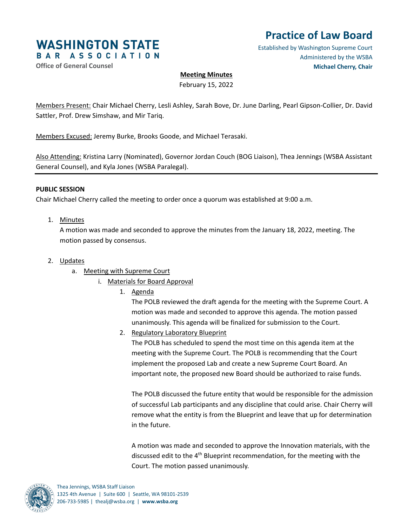

# **Practice of Law Board**

Established by Washington Supreme Court Administered by the WSBA **Office of General Counsel Michael Cherry, Chair**

# **Meeting Minutes**

February 15, 2022

Members Present: Chair Michael Cherry, Lesli Ashley, Sarah Bove, Dr. June Darling, Pearl Gipson-Collier, Dr. David Sattler, Prof. Drew Simshaw, and Mir Tariq.

Members Excused: Jeremy Burke, Brooks Goode, and Michael Terasaki.

Also Attending: Kristina Larry (Nominated), Governor Jordan Couch (BOG Liaison), Thea Jennings (WSBA Assistant General Counsel), and Kyla Jones (WSBA Paralegal).

#### **PUBLIC SESSION**

Chair Michael Cherry called the meeting to order once a quorum was established at 9:00 a.m.

1. Minutes

A motion was made and seconded to approve the minutes from the January 18, 2022, meeting. The motion passed by consensus.

- 2. Updates
	- a. Meeting with Supreme Court
		- i. Materials for Board Approval
			- 1. Agenda

The POLB reviewed the draft agenda for the meeting with the Supreme Court. A motion was made and seconded to approve this agenda. The motion passed unanimously. This agenda will be finalized for submission to the Court.

2. Regulatory Laboratory Blueprint

The POLB has scheduled to spend the most time on this agenda item at the meeting with the Supreme Court. The POLB is recommending that the Court implement the proposed Lab and create a new Supreme Court Board. An important note, the proposed new Board should be authorized to raise funds.

The POLB discussed the future entity that would be responsible for the admission of successful Lab participants and any discipline that could arise. Chair Cherry will remove what the entity is from the Blueprint and leave that up for determination in the future.

A motion was made and seconded to approve the Innovation materials, with the discussed edit to the 4<sup>th</sup> Blueprint recommendation, for the meeting with the Court. The motion passed unanimously.